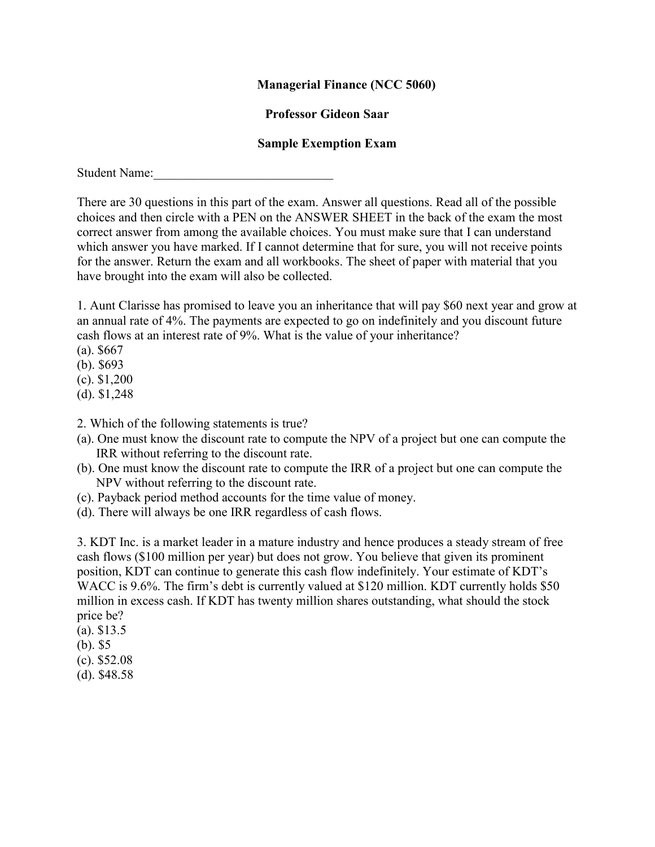## **Managerial Finance (NCC 5060)**

## **Professor Gideon Saar**

## **Sample Exemption Exam**

Student Name:

There are 30 questions in this part of the exam. Answer all questions. Read all of the possible choices and then circle with a PEN on the ANSWER SHEET in the back of the exam the most correct answer from among the available choices. You must make sure that I can understand which answer you have marked. If I cannot determine that for sure, you will not receive points for the answer. Return the exam and all workbooks. The sheet of paper with material that you have brought into the exam will also be collected.

1. Aunt Clarisse has promised to leave you an inheritance that will pay \$60 next year and grow at an annual rate of 4%. The payments are expected to go on indefinitely and you discount future cash flows at an interest rate of 9%. What is the value of your inheritance?

- (a). \$667
- (b). \$693
- (c). \$1,200
- (d). \$1,248
- 2. Which of the following statements is true?
- (a). One must know the discount rate to compute the NPV of a project but one can compute the IRR without referring to the discount rate.
- (b). One must know the discount rate to compute the IRR of a project but one can compute the NPV without referring to the discount rate.
- (c). Payback period method accounts for the time value of money.
- (d). There will always be one IRR regardless of cash flows.

3. KDT Inc. is a market leader in a mature industry and hence produces a steady stream of free cash flows (\$100 million per year) but does not grow. You believe that given its prominent position, KDT can continue to generate this cash flow indefinitely. Your estimate of KDT's WACC is 9.6%. The firm's debt is currently valued at \$120 million. KDT currently holds \$50 million in excess cash. If KDT has twenty million shares outstanding, what should the stock price be?

- (a). \$13.5
- (b). \$5
- (c). \$52.08
- (d). \$48.58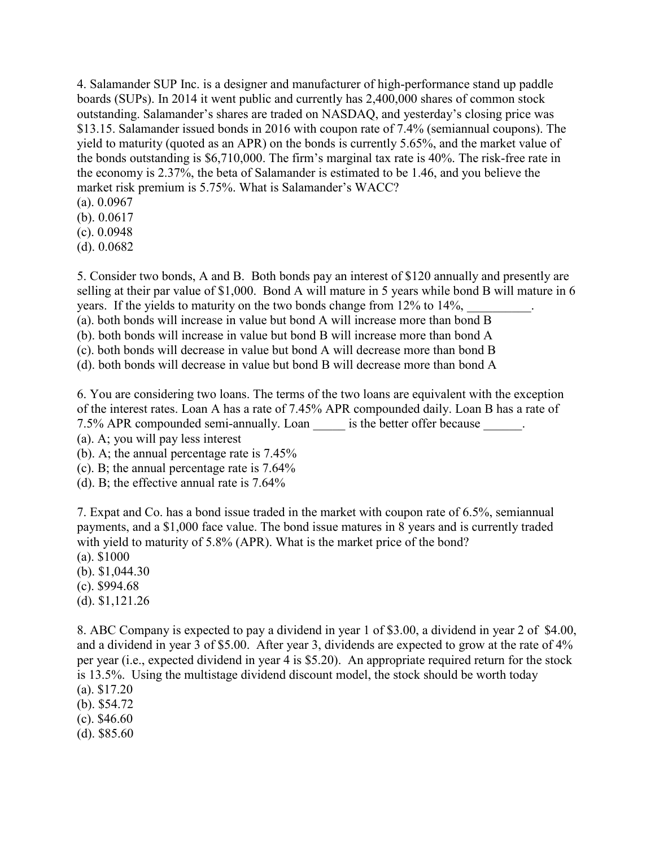4. Salamander SUP Inc. is a designer and manufacturer of high-performance stand up paddle boards (SUPs). In 2014 it went public and currently has 2,400,000 shares of common stock outstanding. Salamander's shares are traded on NASDAQ, and yesterday's closing price was \$13.15. Salamander issued bonds in 2016 with coupon rate of 7.4% (semiannual coupons). The yield to maturity (quoted as an APR) on the bonds is currently 5.65%, and the market value of the bonds outstanding is \$6,710,000. The firm's marginal tax rate is 40%. The risk-free rate in the economy is 2.37%, the beta of Salamander is estimated to be 1.46, and you believe the market risk premium is 5.75%. What is Salamander's WACC?

- (a). 0.0967
- (b). 0.0617

(c). 0.0948

(d). 0.0682

5. Consider two bonds, A and B. Both bonds pay an interest of \$120 annually and presently are selling at their par value of \$1,000. Bond A will mature in 5 years while bond B will mature in 6 years. If the yields to maturity on the two bonds change from 12% to 14%,

(a). both bonds will increase in value but bond A will increase more than bond B

(b). both bonds will increase in value but bond B will increase more than bond A

(c). both bonds will decrease in value but bond A will decrease more than bond B

(d). both bonds will decrease in value but bond B will decrease more than bond A

6. You are considering two loans. The terms of the two loans are equivalent with the exception of the interest rates. Loan A has a rate of 7.45% APR compounded daily. Loan B has a rate of 7.5% APR compounded semi-annually. Loan is the better offer because  $\cdot$ .

(a). A; you will pay less interest

(b). A; the annual percentage rate is 7.45%

(c). B; the annual percentage rate is 7.64%

(d). B; the effective annual rate is 7.64%

7. Expat and Co. has a bond issue traded in the market with coupon rate of 6.5%, semiannual payments, and a \$1,000 face value. The bond issue matures in 8 years and is currently traded with yield to maturity of 5.8% (APR). What is the market price of the bond? (a). \$1000

(b). \$1,044.30

(c). \$994.68

(d). \$1,121.26

8. ABC Company is expected to pay a dividend in year 1 of \$3.00, a dividend in year 2 of \$4.00, and a dividend in year 3 of \$5.00. After year 3, dividends are expected to grow at the rate of 4% per year (i.e., expected dividend in year 4 is \$5.20). An appropriate required return for the stock is 13.5%. Using the multistage dividend discount model, the stock should be worth today

- (a). \$17.20
- (b). \$54.72
- (c). \$46.60
- (d). \$85.60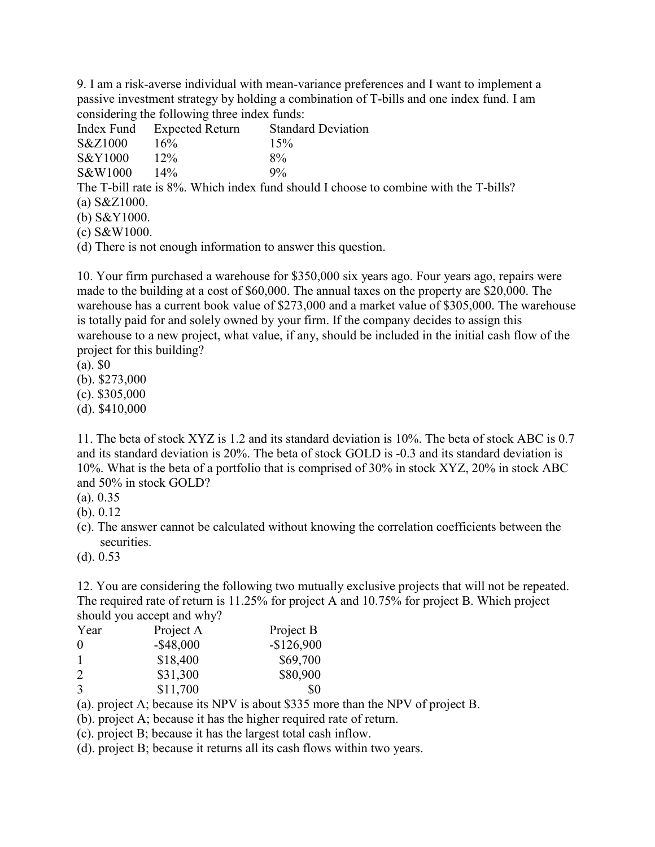9. I am a risk-averse individual with mean-variance preferences and I want to implement a passive investment strategy by holding a combination of T-bills and one index fund. I am considering the following three index funds:

|                                                                                      | Index Fund Expected Return | <b>Standard Deviation</b> |  |  |
|--------------------------------------------------------------------------------------|----------------------------|---------------------------|--|--|
| S&Z1000                                                                              | 16%                        | 15%                       |  |  |
| S&Y1000                                                                              | $12\%$                     | $8\%$                     |  |  |
| S&W1000                                                                              | $14\%$                     | $9\%$                     |  |  |
| The T-bill rate is 8%. Which index fund should I choose to combine with the T-bills? |                            |                           |  |  |
| (a) $S\&Z1000$ .                                                                     |                            |                           |  |  |
| (b) $S&Y1000$ .                                                                      |                            |                           |  |  |
| $($ \ $\cap$ $\cap$ $\overline{N}$ $\cap$ $\cap$ $\cap$                              |                            |                           |  |  |

(c) S&W1000.

(d) There is not enough information to answer this question.

10. Your firm purchased a warehouse for \$350,000 six years ago. Four years ago, repairs were made to the building at a cost of \$60,000. The annual taxes on the property are \$20,000. The warehouse has a current book value of \$273,000 and a market value of \$305,000. The warehouse is totally paid for and solely owned by your firm. If the company decides to assign this warehouse to a new project, what value, if any, should be included in the initial cash flow of the project for this building?

(a). \$0

(b). \$273,000

(c). \$305,000

(d). \$410,000

11. The beta of stock XYZ is 1.2 and its standard deviation is 10%. The beta of stock ABC is 0.7 and its standard deviation is 20%. The beta of stock GOLD is -0.3 and its standard deviation is 10%. What is the beta of a portfolio that is comprised of 30% in stock XYZ, 20% in stock ABC and 50% in stock GOLD?

(a). 0.35

(b). 0.12

(c). The answer cannot be calculated without knowing the correlation coefficients between the securities.

(d). 0.53

12. You are considering the following two mutually exclusive projects that will not be repeated. The required rate of return is 11.25% for project A and 10.75% for project B. Which project should you accept and why?

| Year                        | Project A    | Project B   |
|-----------------------------|--------------|-------------|
| $\Omega$                    | $-$ \$48,000 | $-$126,900$ |
|                             | \$18,400     | \$69,700    |
| $\mathcal{D}_{\mathcal{L}}$ | \$31,300     | \$80,900    |
| 3                           | \$11,700     | \$0         |

(a). project A; because its NPV is about \$335 more than the NPV of project B.

(b). project A; because it has the higher required rate of return.

(c). project B; because it has the largest total cash inflow.

(d). project B; because it returns all its cash flows within two years.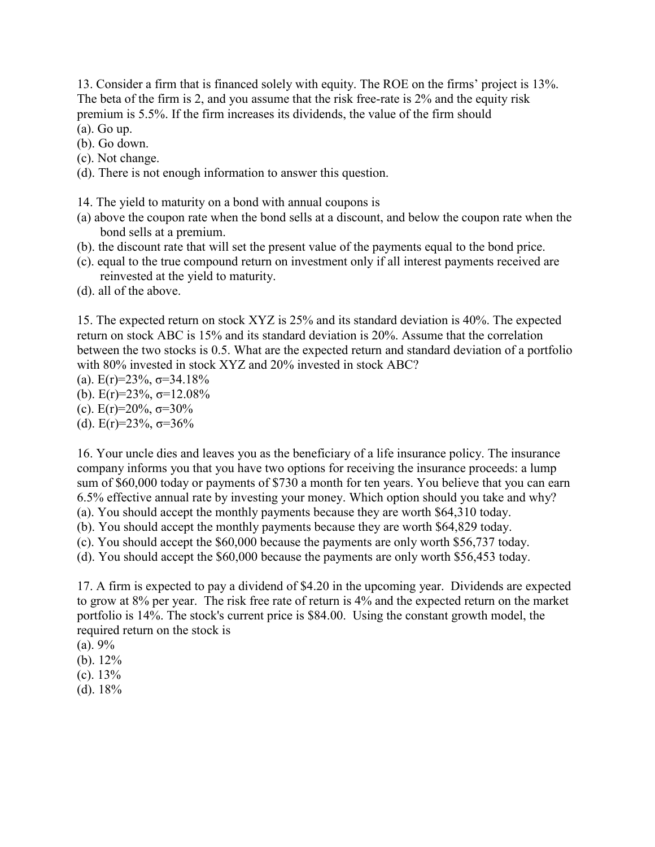13. Consider a firm that is financed solely with equity. The ROE on the firms' project is 13%. The beta of the firm is 2, and you assume that the risk free-rate is 2% and the equity risk premium is 5.5%. If the firm increases its dividends, the value of the firm should

(a). Go up.

- (b). Go down.
- (c). Not change.
- (d). There is not enough information to answer this question.
- 14. The yield to maturity on a bond with annual coupons is
- (a) above the coupon rate when the bond sells at a discount, and below the coupon rate when the bond sells at a premium.
- (b). the discount rate that will set the present value of the payments equal to the bond price.
- (c). equal to the true compound return on investment only if all interest payments received are reinvested at the yield to maturity.
- (d). all of the above.

15. The expected return on stock XYZ is 25% and its standard deviation is 40%. The expected return on stock ABC is 15% and its standard deviation is 20%. Assume that the correlation between the two stocks is 0.5. What are the expected return and standard deviation of a portfolio with 80% invested in stock XYZ and 20% invested in stock ABC?

- (a).  $E(r)=23\%$ ,  $\sigma=34.18\%$
- (b).  $E(r)=23\%$ ,  $\sigma=12.08\%$
- (c).  $E(r)=20\%$ ,  $\sigma=30\%$
- (d).  $E(r)=23\%$ ,  $\sigma=36\%$

16. Your uncle dies and leaves you as the beneficiary of a life insurance policy. The insurance company informs you that you have two options for receiving the insurance proceeds: a lump sum of \$60,000 today or payments of \$730 a month for ten years. You believe that you can earn 6.5% effective annual rate by investing your money. Which option should you take and why? (a). You should accept the monthly payments because they are worth \$64,310 today.

(b). You should accept the monthly payments because they are worth \$64,829 today.

(c). You should accept the \$60,000 because the payments are only worth \$56,737 today.

(d). You should accept the \$60,000 because the payments are only worth \$56,453 today.

17. A firm is expected to pay a dividend of \$4.20 in the upcoming year. Dividends are expected to grow at 8% per year. The risk free rate of return is 4% and the expected return on the market portfolio is 14%. The stock's current price is \$84.00. Using the constant growth model, the required return on the stock is

- $(a)$ . 9%
- (b). 12%
- (c). 13%
- $(d)$ . 18%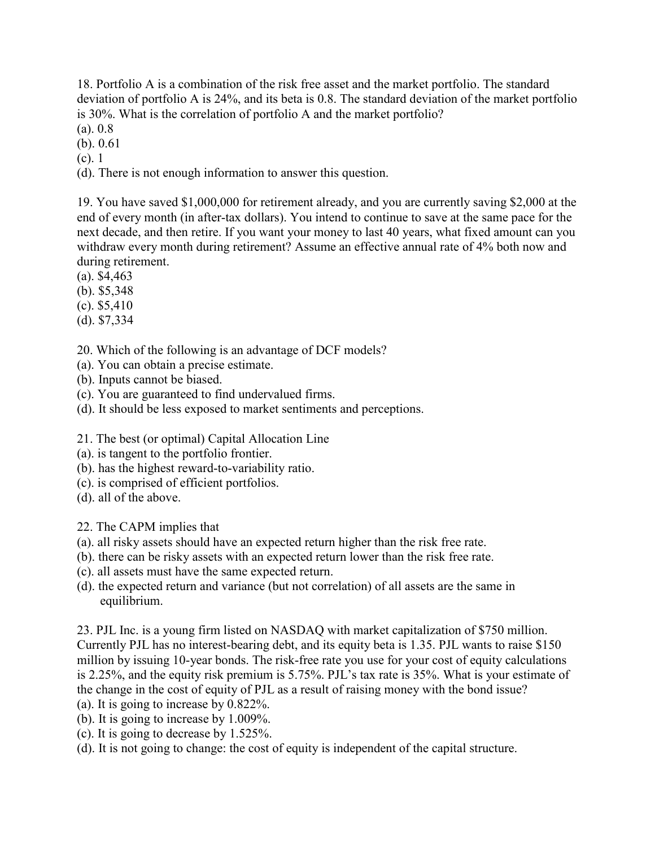18. Portfolio A is a combination of the risk free asset and the market portfolio. The standard deviation of portfolio A is 24%, and its beta is 0.8. The standard deviation of the market portfolio is 30%. What is the correlation of portfolio A and the market portfolio?

- (a). 0.8
- (b). 0.61
- (c). 1

(d). There is not enough information to answer this question.

19. You have saved \$1,000,000 for retirement already, and you are currently saving \$2,000 at the end of every month (in after-tax dollars). You intend to continue to save at the same pace for the next decade, and then retire. If you want your money to last 40 years, what fixed amount can you withdraw every month during retirement? Assume an effective annual rate of 4% both now and during retirement.

- (a). \$4,463
- (b). \$5,348
- (c). \$5,410
- (d). \$7,334
- 20. Which of the following is an advantage of DCF models?
- (a). You can obtain a precise estimate.
- (b). Inputs cannot be biased.
- (c). You are guaranteed to find undervalued firms.
- (d). It should be less exposed to market sentiments and perceptions.
- 21. The best (or optimal) Capital Allocation Line
- (a). is tangent to the portfolio frontier.
- (b). has the highest reward-to-variability ratio.
- (c). is comprised of efficient portfolios.
- (d). all of the above.
- 22. The CAPM implies that
- (a). all risky assets should have an expected return higher than the risk free rate.
- (b). there can be risky assets with an expected return lower than the risk free rate.
- (c). all assets must have the same expected return.
- (d). the expected return and variance (but not correlation) of all assets are the same in equilibrium.

23. PJL Inc. is a young firm listed on NASDAQ with market capitalization of \$750 million. Currently PJL has no interest-bearing debt, and its equity beta is 1.35. PJL wants to raise \$150 million by issuing 10-year bonds. The risk-free rate you use for your cost of equity calculations is 2.25%, and the equity risk premium is 5.75%. PJL's tax rate is 35%. What is your estimate of the change in the cost of equity of PJL as a result of raising money with the bond issue? (a). It is going to increase by 0.822%.

- (b). It is going to increase by 1.009%.
- (c). It is going to decrease by 1.525%.
- (d). It is not going to change: the cost of equity is independent of the capital structure.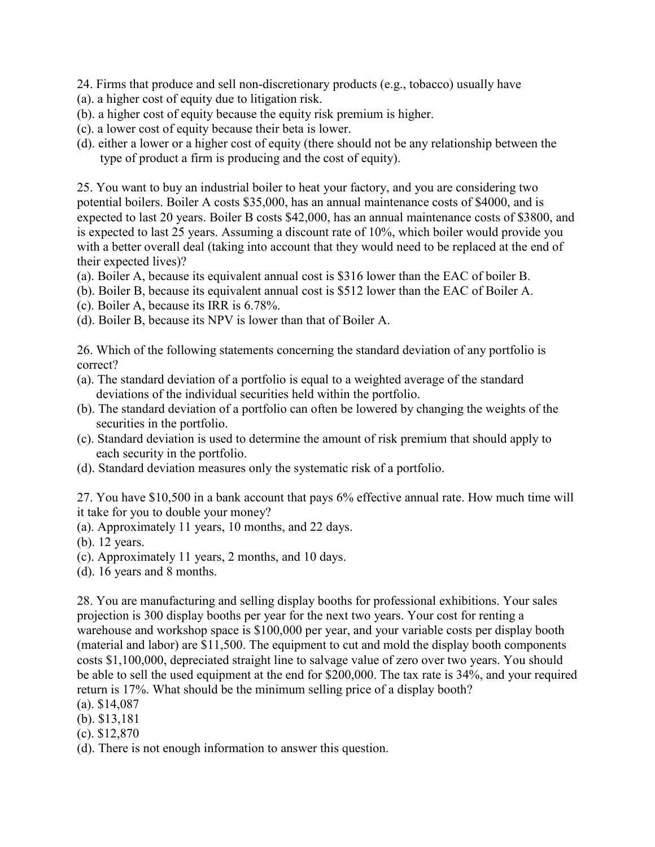- 24. Firms that produce and sell non-discretionary products (e.g., tobacco) usually have
- (a). a higher cost of equity due to litigation risk.
- (b). a higher cost of equity because the equity risk premium is higher.
- (c). a lower cost of equity because their beta is lower.
- (d). either a lower or a higher cost of equity (there should not be any relationship between the type of product a firm is producing and the cost of equity).

25. You want to buy an industrial boiler to heat your factory, and you are considering two potential boilers. Boiler A costs \$35,000, has an annual maintenance costs of \$4000, and is expected to last 20 years. Boiler B costs \$42,000, has an annual maintenance costs of \$3800, and is expected to last 25 years. Assuming a discount rate of 10%, which boiler would provide you with a better overall deal (taking into account that they would need to be replaced at the end of their expected lives)?

- (a). Boiler A, because its equivalent annual cost is \$316 lower than the EAC of boiler B.
- (b). Boiler B, because its equivalent annual cost is \$512 lower than the EAC of Boiler A.
- (c). Boiler A, because its IRR is 6.78%.
- (d). Boiler B, because its NPV is lower than that of Boiler A.

26. Which of the following statements concerning the standard deviation of any portfolio is correct?

- (a). The standard deviation of a portfolio is equal to a weighted average of the standard deviations of the individual securities held within the portfolio.
- (b). The standard deviation of a portfolio can often be lowered by changing the weights of the securities in the portfolio.
- (c). Standard deviation is used to determine the amount of risk premium that should apply to each security in the portfolio.
- (d). Standard deviation measures only the systematic risk of a portfolio.

27. You have \$10,500 in a bank account that pays 6% effective annual rate. How much time will it take for you to double your money?

(a). Approximately 11 years, 10 months, and 22 days.

- (b). 12 years.
- (c). Approximately 11 years, 2 months, and 10 days.
- (d). 16 years and 8 months.

28. You are manufacturing and selling display booths for professional exhibitions. Your sales projection is 300 display booths per year for the next two years. Your cost for renting a warehouse and workshop space is \$100,000 per year, and your variable costs per display booth (material and labor) are \$11,500. The equipment to cut and mold the display booth components costs \$1,100,000, depreciated straight line to salvage value of zero over two years. You should be able to sell the used equipment at the end for \$200,000. The tax rate is 34%, and your required return is 17%. What should be the minimum selling price of a display booth?

- (a). \$14,087
- (b). \$13,181
- (c). \$12,870
- (d). There is not enough information to answer this question.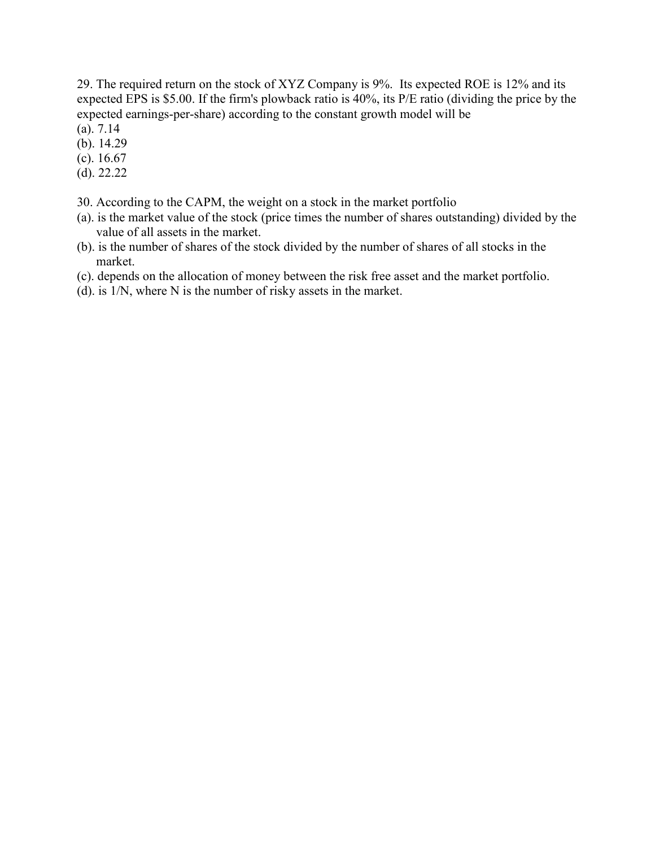29. The required return on the stock of XYZ Company is 9%. Its expected ROE is 12% and its expected EPS is \$5.00. If the firm's plowback ratio is 40%, its P/E ratio (dividing the price by the expected earnings-per-share) according to the constant growth model will be

- (a). 7.14
- (b). 14.29
- (c). 16.67
- (d). 22.22
- 30. According to the CAPM, the weight on a stock in the market portfolio
- (a). is the market value of the stock (price times the number of shares outstanding) divided by the value of all assets in the market.
- (b). is the number of shares of the stock divided by the number of shares of all stocks in the market.
- (c). depends on the allocation of money between the risk free asset and the market portfolio.
- (d). is 1/N, where N is the number of risky assets in the market.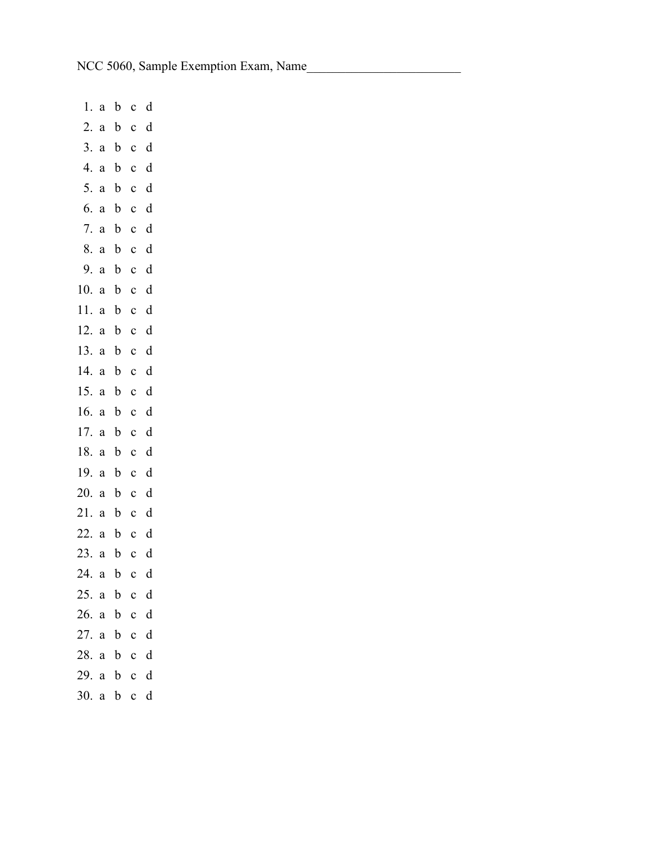1. a b c d 2. a b c d 3. a b c d 4. a b c d 5. a b c d 6. a b c d 7. a b c d 8. a b c d 9. a b c d 10. a b c d 11. a b c d 12. a b c d 13. a b c d 14. a b c d 15. a b c d 16. a b c d 17. a b c d 18. a b c d 19. a b c d 20. a b c d 21. a b c d 22. a b c d 23. a b c d 24. a b c d 25. a b c d 26. a b c d 27. a b c d 28. a b c d 29. a b c d 30. a b c d